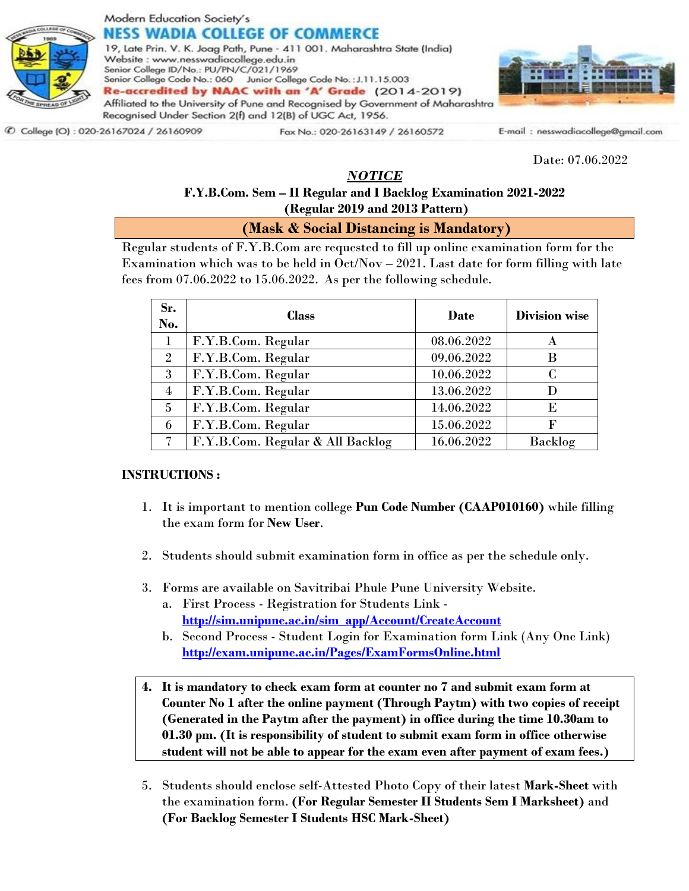

## Modern Education Society's NESS WADIA COLLEGE OF COMMERCE

19, Late Prin. V. K. Joag Path, Pune - 411 001. Maharashtra State (India) Website: www.nesswadiacollege.edu.in Senior College ID/No.: PU/PN/C/021/1969 Senior College Code No.: 060 Junior College Code No.: J.11.15.003 Re-accredited by NAAC with an 'A' Grade (2014-2019) Affiliated to the University of Pune and Recognised by Government of Maharashtra Recognised Under Section 2(f) and 12(B) of UGC Act, 1956.



C College (O): 020-26167024 / 26160909

Fax No.: 020-26163149 / 26160572

E-mail: nesswadiacollege@gmail.com

Date: 07.06.2022

## *NOTICE*

## **F.Y.B.Com. Sem – II Regular and I Backlog Examination 2021-2022 (Regular 2019 and 2013 Pattern)**

**(Mask & Social Distancing is Mandatory)**

Regular students of F.Y.B.Com are requested to fill up online examination form for the Examination which was to be held in  $Oct/Nov - 2021$ . Last date for form filling with late fees from 07.06.2022 to 15.06.2022. As per the following schedule.

| Sr.<br>No.     | <b>Class</b>                     | Date       | <b>Division wise</b> |
|----------------|----------------------------------|------------|----------------------|
| 1              | F.Y.B.Com. Regular               | 08.06.2022 | A                    |
| $\overline{2}$ | F.Y.B.Com. Regular               | 09.06.2022 | B                    |
| 3              | F.Y.B.Com. Regular               | 10.06.2022 | C                    |
| $\overline{4}$ | F.Y.B.Com. Regular               | 13.06.2022 | D                    |
| 5              | F.Y.B.Com. Regular               | 14.06.2022 | E                    |
| 6              | F.Y.B.Com. Regular               | 15.06.2022 | F                    |
| 7              | F.Y.B.Com. Regular & All Backlog | 16.06.2022 | Backlog              |

## **INSTRUCTIONS :**

- 1. It is important to mention college **Pun Code Number (CAAP010160)** while filling the exam form for **New User**.
- 2. Students should submit examination form in office as per the schedule only.
- 3. Forms are available on Savitribai Phule Pune University Website.
	- a. First Process Registration for Students Link **[http://sim.unipune.ac.in/sim\\_app/Account/CreateAccount](http://sim.unipune.ac.in/sim_app/Account/CreateAccount)**
	- b. Second Process Student Login for Examination form Link (Any One Link) **<http://exam.unipune.ac.in/Pages/ExamFormsOnline.html>**
- **4. It is mandatory to check exam form at counter no 7 and submit exam form at Counter No 1 after the online payment (Through Paytm) with two copies of receipt (Generated in the Paytm after the payment) in office during the time 10.30am to 01.30 pm. (It is responsibility of student to submit exam form in office otherwise student will not be able to appear for the exam even after payment of exam fees.)**
- 5. Students should enclose self-Attested Photo Copy of their latest **Mark-Sheet** with the examination form. **(For Regular Semester II Students Sem I Marksheet)** and **(For Backlog Semester I Students HSC Mark-Sheet)**